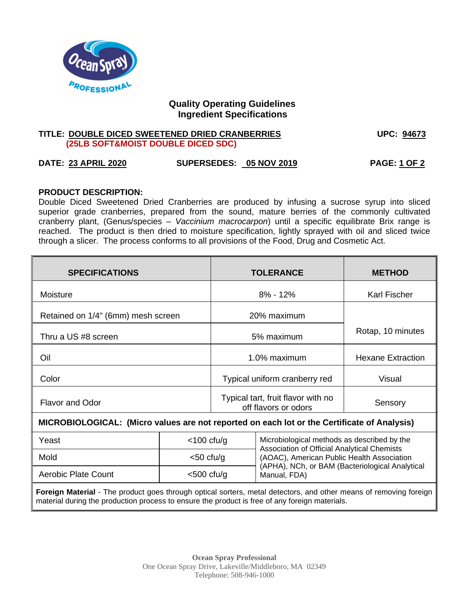

# **Quality Operating Guidelines Ingredient Specifications**

### **TITLE: DOUBLE DICED SWEETENED DRIED CRANBERRIES UPC: 94673 (25LB SOFT&MOIST DOUBLE DICED SDC)**

# **DATE: 23 APRIL 2020 SUPERSEDES: 05 NOV 2019 PAGE: 1 OF 2**

### **PRODUCT DESCRIPTION:**

Double Diced Sweetened Dried Cranberries are produced by infusing a sucrose syrup into sliced superior grade cranberries, prepared from the sound, mature berries of the commonly cultivated cranberry plant, (Genus/species – *Vaccinium macrocarpon*) until a specific equilibrate Brix range is reached. The product is then dried to moisture specification, lightly sprayed with oil and sliced twice through a slicer. The process conforms to all provisions of the Food, Drug and Cosmetic Act.

| <b>SPECIFICATIONS</b>                                                                                                                                                                                               |               | <b>TOLERANCE</b>                                           |                                                                                            | <b>METHOD</b>            |
|---------------------------------------------------------------------------------------------------------------------------------------------------------------------------------------------------------------------|---------------|------------------------------------------------------------|--------------------------------------------------------------------------------------------|--------------------------|
| Moisture                                                                                                                                                                                                            |               | $8\% - 12\%$                                               |                                                                                            | Karl Fischer             |
| Retained on 1/4" (6mm) mesh screen                                                                                                                                                                                  |               | 20% maximum                                                |                                                                                            |                          |
| Thru a US #8 screen                                                                                                                                                                                                 |               | 5% maximum                                                 |                                                                                            | Rotap, 10 minutes        |
| Oil                                                                                                                                                                                                                 |               | 1.0% maximum                                               |                                                                                            | <b>Hexane Extraction</b> |
| Color                                                                                                                                                                                                               |               | Typical uniform cranberry red                              |                                                                                            | Visual                   |
| <b>Flavor and Odor</b>                                                                                                                                                                                              |               | Typical tart, fruit flavor with no<br>off flavors or odors |                                                                                            | Sensory                  |
| MICROBIOLOGICAL: (Micro values are not reported on each lot or the Certificate of Analysis)                                                                                                                         |               |                                                            |                                                                                            |                          |
| Yeast                                                                                                                                                                                                               | $<$ 100 cfu/g |                                                            | Microbiological methods as described by the<br>Association of Official Analytical Chemists |                          |
| Mold                                                                                                                                                                                                                | $<$ 50 cfu/g  |                                                            | (AOAC), American Public Health Association                                                 |                          |
| <b>Aerobic Plate Count</b>                                                                                                                                                                                          | $<$ 500 cfu/g |                                                            | (APHA), NCh, or BAM (Bacteriological Analytical<br>Manual, FDA)                            |                          |
| Foreign Material - The product goes through optical sorters, metal detectors, and other means of removing foreign<br>material during the production process to ensure the product is free of any foreign materials. |               |                                                            |                                                                                            |                          |